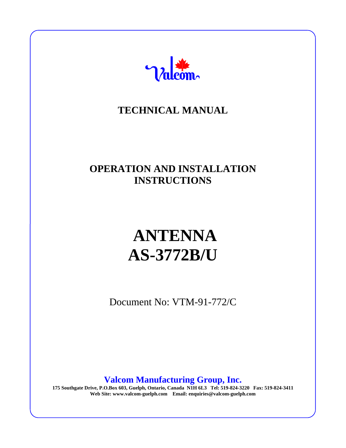

# **TECHNICAL MANUAL**

# **OPERATION AND INSTALLATION INSTRUCTIONS**

# **ANTENNA AS-3772B/U**

Document No: VTM-91-772/C

**Valcom Manufacturing Group, Inc.**

**175 Southgate Drive, P.O.Box 603, Guelph, Ontario, Canada N1H 6L3 Tel: 519-824-3220 Fax: 519-824-3411 Web Site: www.valcom-guelph.com Email: enquiries@valcom-guelph.com**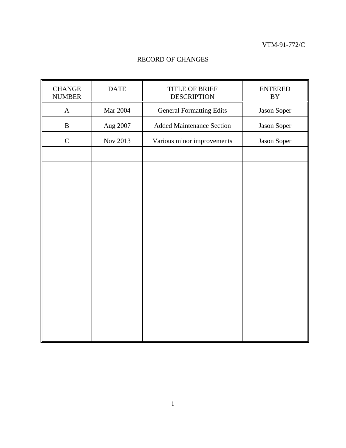$\blacksquare$ 

#### RECORD OF CHANGES

| <b>CHANGE</b><br><b>NUMBER</b> | <b>DATE</b> | <b>TITLE OF BRIEF</b><br><b>DESCRIPTION</b> | <b>ENTERED</b><br>${\rm BY}$ |  |
|--------------------------------|-------------|---------------------------------------------|------------------------------|--|
| $\mathbf A$                    | Mar 2004    | <b>General Formatting Edits</b>             | Jason Soper                  |  |
| $\, {\bf B}$                   | Aug 2007    | <b>Added Maintenance Section</b>            | Jason Soper                  |  |
| $\mathsf{C}$                   | Nov 2013    | Various minor improvements                  | Jason Soper                  |  |
|                                |             |                                             |                              |  |
|                                |             |                                             |                              |  |
|                                |             |                                             |                              |  |
|                                |             |                                             |                              |  |
|                                |             |                                             |                              |  |
|                                |             |                                             |                              |  |
|                                |             |                                             |                              |  |
|                                |             |                                             |                              |  |
|                                |             |                                             |                              |  |
|                                |             |                                             |                              |  |
|                                |             |                                             |                              |  |
|                                |             |                                             |                              |  |
|                                |             |                                             |                              |  |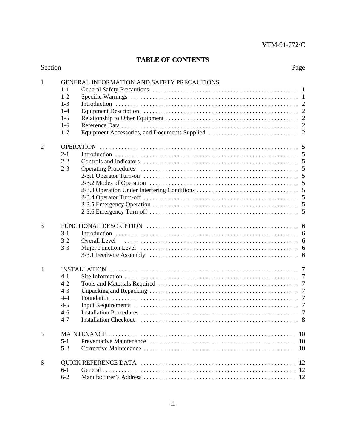#### **TABLE OF CONTENTS**

| Section | Page |
|---------|------|
|         |      |

| 1 | GENERAL INFORMATION AND SAFETY PRECAUTIONS<br>$1 - 1$<br>$1 - 2$<br>$1 - 3$<br>$1 - 4$<br>$1-5$<br>$1-6$<br>$1 - 7$ |
|---|---------------------------------------------------------------------------------------------------------------------|
| 2 | $2 - 1$<br>$2 - 2$<br>$2 - 3$                                                                                       |
| 3 | $3-1$<br>$3 - 2$<br>Overall Level<br>$3 - 3$                                                                        |
| 4 | 4-1<br>$4 - 2$<br>$4 - 3$<br>$4 - 4$<br>$4 - 5$<br>$4 - 6$<br>$4 - 7$                                               |
| 5 | 10<br>10<br>$5-1$<br>$5 - 2$<br>10                                                                                  |
| 6 | 12<br><sup>12</sup><br>$6-1$<br>$6 - 2$                                                                             |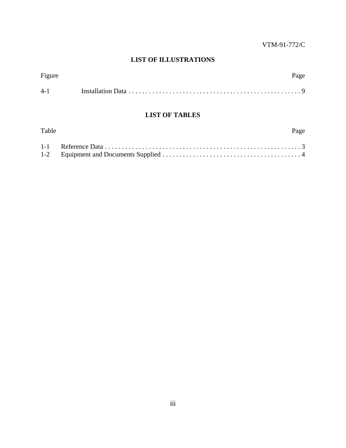#### **LIST OF ILLUSTRATIONS**

| Figure  | Page |
|---------|------|
| $4 - 1$ |      |

#### **LIST OF TABLES**

| Table | Page |
|-------|------|
|       |      |
|       |      |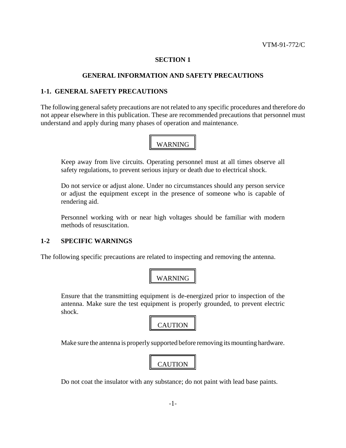#### **GENERAL INFORMATION AND SAFETY PRECAUTIONS**

#### **1-1. GENERAL SAFETY PRECAUTIONS**

The following general safety precautions are not related to any specific procedures and therefore do not appear elsewhere in this publication. These are recommended precautions that personnel must understand and apply during many phases of operation and maintenance.

# WARNING

Keep away from live circuits. Operating personnel must at all times observe all safety regulations, to prevent serious injury or death due to electrical shock.

Do not service or adjust alone. Under no circumstances should any person service or adjust the equipment except in the presence of someone who is capable of rendering aid.

Personnel working with or near high voltages should be familiar with modern methods of resuscitation.

#### **1-2 SPECIFIC WARNINGS**

The following specific precautions are related to inspecting and removing the antenna.

### WARNING

Ensure that the transmitting equipment is de-energized prior to inspection of the antenna. Make sure the test equipment is properly grounded, to prevent electric shock.



Make sure the antenna is properly supported before removing its mounting hardware.



Do not coat the insulator with any substance; do not paint with lead base paints.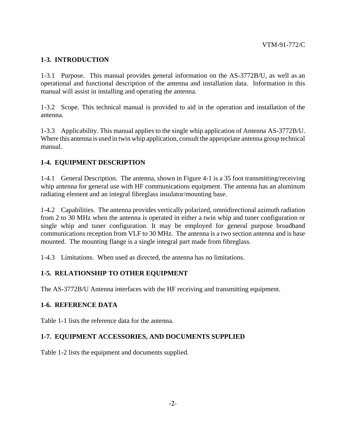#### **1-3. INTRODUCTION**

1-3.1 Purpose. This manual provides general information on the AS-3772B/U, as well as an operational and functional description of the antenna and installation data. Information in this manual will assist in installing and operating the antenna.

1-3.2 Scope. This technical manual is provided to aid in the operation and installation of the antenna.

1-3.3 Applicability. This manual applies to the single whip application of Antenna AS-3772B/U. Where this antenna is used in twin whip application, consult the appropriate antenna group technical manual.

#### **1-4. EQUIPMENT DESCRIPTION**

1-4.1 General Description. The antenna, shown in Figure 4-1 is a 35 foot transmitting/receiving whip antenna for general use with HF communications equipment. The antenna has an aluminum radiating element and an integral fibreglass insulator/mounting base.

1-4.2 Capabilities. The antenna provides vertically polarized, omnidirectional azimuth radiation from 2 to 30 MHz when the antenna is operated in either a twin whip and tuner configuration or single whip and tuner configuration. It may be employed for general purpose broadband communications reception from VLF to 30 MHz. The antenna is a two section antenna and is base mounted. The mounting flange is a single integral part made from fibreglass.

1-4.3 Limitations. When used as directed, the antenna has no limitations.

#### **1-5. RELATIONSHIP TO OTHER EQUIPMENT**

The AS-3772B/U Antenna interfaces with the HF receiving and transmitting equipment.

#### **1-6. REFERENCE DATA**

Table 1-1 lists the reference data for the antenna.

#### **1-7. EQUIPMENT ACCESSORIES, AND DOCUMENTS SUPPLIED**

Table 1-2 lists the equipment and documents supplied.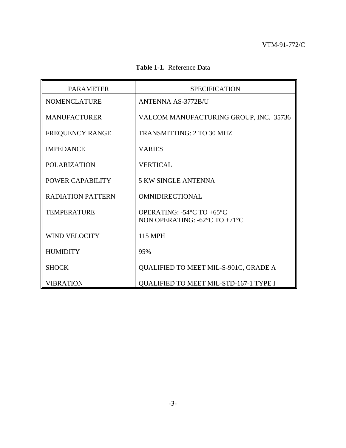|  | Table 1-1. Reference Data |
|--|---------------------------|
|--|---------------------------|

| <b>PARAMETER</b>         | <b>SPECIFICATION</b>                                                                               |  |  |
|--------------------------|----------------------------------------------------------------------------------------------------|--|--|
| <b>NOMENCLATURE</b>      | <b>ANTENNA AS-3772B/U</b>                                                                          |  |  |
| <b>MANUFACTURER</b>      | VALCOM MANUFACTURING GROUP, INC. 35736                                                             |  |  |
| FREQUENCY RANGE          | <b>TRANSMITTING: 2 TO 30 MHZ</b>                                                                   |  |  |
| <b>IMPEDANCE</b>         | <b>VARIES</b>                                                                                      |  |  |
| <b>POLARIZATION</b>      | <b>VERTICAL</b>                                                                                    |  |  |
| POWER CAPABILITY         | <b>5 KW SINGLE ANTENNA</b>                                                                         |  |  |
| <b>RADIATION PATTERN</b> | <b>OMNIDIRECTIONAL</b>                                                                             |  |  |
| <b>TEMPERATURE</b>       | OPERATING: $-54^{\circ}$ C TO $+65^{\circ}$ C<br>NON OPERATING: $-62^{\circ}$ C TO $+71^{\circ}$ C |  |  |
| <b>WIND VELOCITY</b>     | 115 MPH                                                                                            |  |  |
| <b>HUMIDITY</b>          | 95%                                                                                                |  |  |
| <b>SHOCK</b>             | QUALIFIED TO MEET MIL-S-901C, GRADE A                                                              |  |  |
| <b>VIBRATION</b>         | <b>QUALIFIED TO MEET MIL-STD-167-1 TYPE I</b>                                                      |  |  |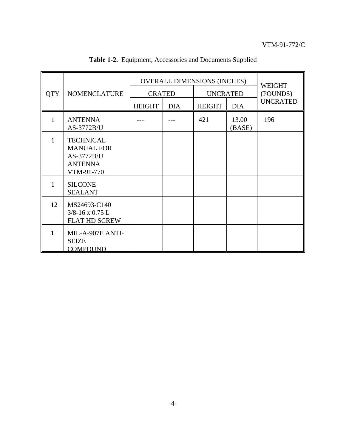|              | <b>NOMENCLATURE</b>                                                                 | <b>OVERALL DIMENSIONS (INCHES)</b> |            |                 |                 | WEIGHT          |
|--------------|-------------------------------------------------------------------------------------|------------------------------------|------------|-----------------|-----------------|-----------------|
| <b>QTY</b>   |                                                                                     | <b>CRATED</b>                      |            | <b>UNCRATED</b> |                 | (POUNDS)        |
|              |                                                                                     | <b>HEIGHT</b>                      | <b>DIA</b> | <b>HEIGHT</b>   | <b>DIA</b>      | <b>UNCRATED</b> |
| $\mathbf{1}$ | <b>ANTENNA</b><br>AS-3772B/U                                                        |                                    |            | 421             | 13.00<br>(BASE) | 196             |
| 1            | <b>TECHNICAL</b><br><b>MANUAL FOR</b><br>AS-3772B/U<br><b>ANTENNA</b><br>VTM-91-770 |                                    |            |                 |                 |                 |
| 1            | <b>SILCONE</b><br><b>SEALANT</b>                                                    |                                    |            |                 |                 |                 |
| 12           | MS24693-C140<br>$3/8 - 16 \times 0.75$ L<br><b>FLAT HD SCREW</b>                    |                                    |            |                 |                 |                 |
| 1            | MIL-A-907E ANTI-<br><b>SEIZE</b><br><b>COMPOUND</b>                                 |                                    |            |                 |                 |                 |

**Table 1-2.** Equipment, Accessories and Documents Supplied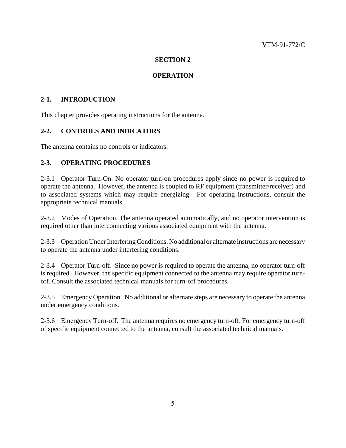#### **OPERATION**

#### **2-1. INTRODUCTION**

This chapter provides operating instructions for the antenna.

#### **2-2. CONTROLS AND INDICATORS**

The antenna contains no controls or indicators.

#### **2-3. OPERATING PROCEDURES**

2-3.1 Operator Turn-On. No operator turn-on procedures apply since no power is required to operate the antenna. However, the antenna is coupled to RF equipment (transmitter/receiver) and to associated systems which may require energizing. For operating instructions, consult the appropriate technical manuals.

2-3.2 Modes of Operation. The antenna operated automatically, and no operator intervention is required other than interconnecting various associated equipment with the antenna.

2-3.3 Operation Under Interfering Conditions. No additional or alternate instructions are necessary to operate the antenna under interfering conditions.

2-3.4 Operator Turn-off. Since no power is required to operate the antenna, no operator turn-off is required. However, the specific equipment connected to the antenna may require operator turnoff. Consult the associated technical manuals for turn-off procedures.

2-3.5 Emergency Operation. No additional or alternate steps are necessary to operate the antenna under emergency conditions.

2-3.6 Emergency Turn-off. The antenna requires no emergency turn-off. For emergency turn-off of specific equipment connected to the antenna, consult the associated technical manuals.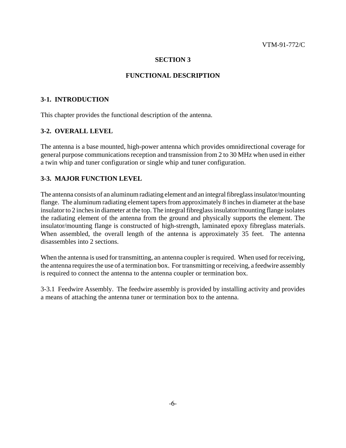#### **FUNCTIONAL DESCRIPTION**

#### **3-1. INTRODUCTION**

This chapter provides the functional description of the antenna.

#### **3-2. OVERALL LEVEL**

The antenna is a base mounted, high-power antenna which provides omnidirectional coverage for general purpose communications reception and transmission from 2 to 30 MHz when used in either a twin whip and tuner configuration or single whip and tuner configuration.

#### **3-3. MAJOR FUNCTION LEVEL**

The antenna consists of an aluminum radiating element and an integral fibreglass insulator/mounting flange. The aluminum radiating element tapers from approximately 8 inches in diameter at the base insulator to 2 inches in diameter at the top. The integral fibreglass insulator/mounting flange isolates the radiating element of the antenna from the ground and physically supports the element. The insulator/mounting flange is constructed of high-strength, laminated epoxy fibreglass materials. When assembled, the overall length of the antenna is approximately 35 feet. The antenna disassembles into 2 sections.

When the antenna is used for transmitting, an antenna coupler is required. When used for receiving, the antenna requires the use of a termination box. For transmitting or receiving, a feedwire assembly is required to connect the antenna to the antenna coupler or termination box.

3-3.1 Feedwire Assembly. The feedwire assembly is provided by installing activity and provides a means of attaching the antenna tuner or termination box to the antenna.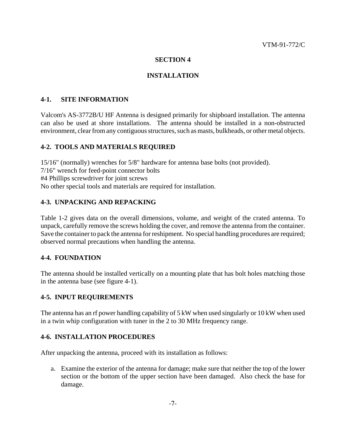#### **INSTALLATION**

#### **4-1. SITE INFORMATION**

Valcom's AS-3772B/U HF Antenna is designed primarily for shipboard installation. The antenna can also be used at shore installations. The antenna should be installed in a non-obstructed environment, clear from any contiguous structures, such as masts, bulkheads, or other metal objects.

#### **4-2. TOOLS AND MATERIALS REQUIRED**

15/16" (normally) wrenches for 5/8" hardware for antenna base bolts (not provided). 7/16" wrench for feed-point connector bolts #4 Phillips screwdriver for joint screws No other special tools and materials are required for installation.

#### **4-3. UNPACKING AND REPACKING**

Table 1-2 gives data on the overall dimensions, volume, and weight of the crated antenna. To unpack, carefully remove the screws holding the cover, and remove the antenna from the container. Save the container to pack the antenna for reshipment. No special handling procedures are required; observed normal precautions when handling the antenna.

#### **4-4. FOUNDATION**

The antenna should be installed vertically on a mounting plate that has bolt holes matching those in the antenna base (see figure 4-1).

#### **4-5. INPUT REQUIREMENTS**

The antenna has an rf power handling capability of 5 kW when used singularly or 10 kW when used in a twin whip configuration with tuner in the 2 to 30 MHz frequency range.

#### **4-6. INSTALLATION PROCEDURES**

After unpacking the antenna, proceed with its installation as follows:

a. Examine the exterior of the antenna for damage; make sure that neither the top of the lower section or the bottom of the upper section have been damaged. Also check the base for damage.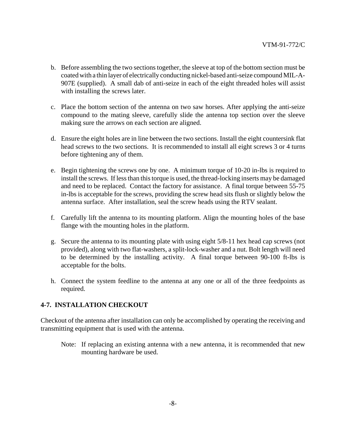- b. Before assembling the two sections together, the sleeve at top of the bottom section must be coated with a thin layer of electrically conducting nickel-based anti-seize compound MIL-A-907E (supplied). A small dab of anti-seize in each of the eight threaded holes will assist with installing the screws later.
- c. Place the bottom section of the antenna on two saw horses. After applying the anti-seize compound to the mating sleeve, carefully slide the antenna top section over the sleeve making sure the arrows on each section are aligned.
- d. Ensure the eight holes are in line between the two sections. Install the eight countersink flat head screws to the two sections. It is recommended to install all eight screws 3 or 4 turns before tightening any of them.
- e. Begin tightening the screws one by one. A minimum torque of 10-20 in-lbs is required to install the screws. If less than this torque is used, the thread-locking inserts may be damaged and need to be replaced. Contact the factory for assistance. A final torque between 55-75 in-lbs is acceptable for the screws, providing the screw head sits flush or slightly below the antenna surface. After installation, seal the screw heads using the RTV sealant.
- f. Carefully lift the antenna to its mounting platform. Align the mounting holes of the base flange with the mounting holes in the platform.
- g. Secure the antenna to its mounting plate with using eight 5/8-11 hex head cap screws (not provided), along with two flat-washers, a split-lock-washer and a nut. Bolt length will need to be determined by the installing activity. A final torque between 90-100 ft-lbs is acceptable for the bolts.
- h. Connect the system feedline to the antenna at any one or all of the three feedpoints as required.

#### **4-7. INSTALLATION CHECKOUT**

Checkout of the antenna after installation can only be accomplished by operating the receiving and transmitting equipment that is used with the antenna.

Note: If replacing an existing antenna with a new antenna, it is recommended that new mounting hardware be used.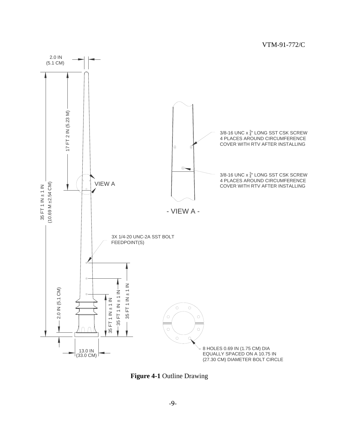

**Figure 4-1** Outline Drawing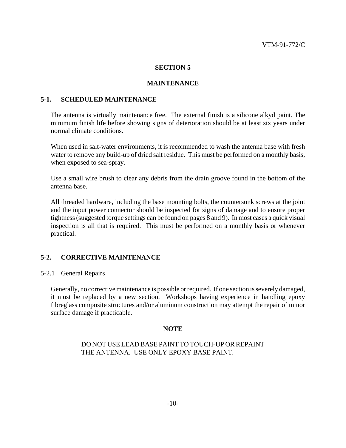#### **MAINTENANCE**

#### **5-1. SCHEDULED MAINTENANCE**

The antenna is virtually maintenance free. The external finish is a silicone alkyd paint. The minimum finish life before showing signs of deterioration should be at least six years under normal climate conditions.

When used in salt-water environments, it is recommended to wash the antenna base with fresh water to remove any build-up of dried salt residue. This must be performed on a monthly basis, when exposed to sea-spray.

Use a small wire brush to clear any debris from the drain groove found in the bottom of the antenna base.

All threaded hardware, including the base mounting bolts, the countersunk screws at the joint and the input power connector should be inspected for signs of damage and to ensure proper tightness (suggested torque settings can be found on pages 8 and 9). In most cases a quick visual inspection is all that is required. This must be performed on a monthly basis or whenever practical.

#### **5-2. CORRECTIVE MAINTENANCE**

#### 5-2.1 General Repairs

Generally, no corrective maintenance is possible or required. If one section is severely damaged, it must be replaced by a new section. Workshops having experience in handling epoxy fibreglass composite structures and/or aluminum construction may attempt the repair of minor surface damage if practicable.

#### **NOTE**

#### DO NOT USE LEAD BASE PAINT TO TOUCH-UP OR REPAINT THE ANTENNA. USE ONLY EPOXY BASE PAINT.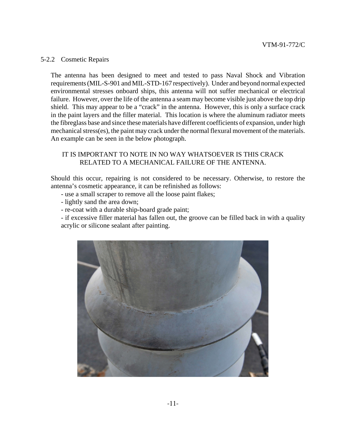#### 5-2.2 Cosmetic Repairs

The antenna has been designed to meet and tested to pass Naval Shock and Vibration requirements (MIL-S-901 and MIL-STD-167 respectively). Under and beyond normal expected environmental stresses onboard ships, this antenna will not suffer mechanical or electrical failure. However, over the life of the antenna a seam may become visible just above the top drip shield. This may appear to be a "crack" in the antenna. However, this is only a surface crack in the paint layers and the filler material. This location is where the aluminum radiator meets the fibreglass base and since these materials have different coefficients of expansion, under high mechanical stress(es), the paint may crack under the normal flexural movement of the materials. An example can be seen in the below photograph.

#### IT IS IMPORTANT TO NOTE IN NO WAY WHATSOEVER IS THIS CRACK RELATED TO A MECHANICAL FAILURE OF THE ANTENNA.

Should this occur, repairing is not considered to be necessary. Otherwise, to restore the antenna's cosmetic appearance, it can be refinished as follows:

- use a small scraper to remove all the loose paint flakes;
- lightly sand the area down;
- re-coat with a durable ship-board grade paint;

- if excessive filler material has fallen out, the groove can be filled back in with a quality acrylic or silicone sealant after painting.